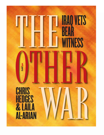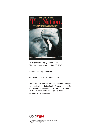

This report originally appeared in The Nation magazine on July 30, 2007.

Reprinted with permission.

© Chris Hedges & Laila Al-Arian 2007

This article will form the basis of *Collateral Damage*, forthcoming from Nation Books. Research support for this article was provided by the Investigative Fund of The Nation Institute. Research assistance was provided by Nicholas Jahr.



WRITING WORTH READING FROM AROUND THE WORLD <http://www.coldtype.net>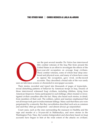Figure 11 out of the past several months *The Nation* has interviewed fifty combat veterans of the Iraq War from around the United States in an effort to investigate the effects of the four-year-old occupation on average I fifty combat veterans of the Iraq War from around the United States in an effort to investigate the effects of the four-year-old occupation on average Iraqi civilians. These combat veterans, some of whom bear deep emotional and physical scars, and many of whom have come to oppose the occupation, gave vivid, on-the-record accounts. They described a brutal side of the war rarely

seen on television screens or chronicled in newspaper accounts.

Their stories, recorded and typed into thousands of pages of transcripts, reveal disturbing patterns of behavior by American troops in Iraq. Dozens of those interviewed witnessed Iraqi civilians, including children, dying from American firepower. Some participated in such killings; others treated or investigated civilian casualties after the fact. Many also heard such stories, in detail, from members of their unit. The soldiers, sailors and marines emphasized that not all troops took part in indiscriminate killings. Many said that these acts were perpetrated by a minority. But they nevertheless described such acts as common and said they often go unreported – and almost always go unpunished.

Court cases, such as the ones surrounding the massacre in Haditha and the rape and murder of a 14-year-old in Mahmudiya, and news stories in the Washington Post, Time, the London Independent and elsewhere based on Iraqi accounts have begun to hint at the wide extent of the attacks on civilians.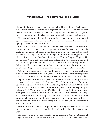Human rights groups have issued reports, such as Human Rights Watch's *Hearts and Minds: Post-war Civilian Deaths in Baghdad Caused by U.S. Forces,* packed with detailed incidents that suggest that the killing of Iraqi civilians by occupation forces is more common than has been acknowledged by military authorities.

This Nation investigation marks the first time so many on-the-record, named eyewitnesses from within the US military have been assembled in one place to openly corroborate these assertions.

While some veterans said civilian shootings were routinely investigated by the military, many more said such inquiries were rare. "I mean, you physically could not do an investigation every time a civilian was wounded or killed because it just happens a lot and you'd spend all your time doing that," said Marine Reserve Lieut. Jonathan Morgenstein, 35, of Arlington, Virginia. He served from August 2004 to March 2005 in Ramadi with a Marine Corps civil affairs unit supporting a combat team with the Second Marine Expeditionary Brigade. (All interviewees are identified by the rank they held during the period of service they recount here; some have since been promoted or demoted.)

Veterans said the culture of this counterinsurgency war, in which most Iraqi civilians were assumed to be hostile, made it difficult for soldiers to sympathize with their victims – at least until they returned home and had a chance to reflect.

"I guess while I was there, the general attitude was, A dead Iraqi is just another dead Iraqi," said Spc. Jeff Englehart, 26, of Grand Junction, Colorado. Specialist Englehart served with the Third Brigade, First Infantry Division, in Baquba, about thirty-five miles northeast of Baghdad, for a year beginning in February 2004. "You know, so what?... The soldiers honestly thought we were trying to help the people and they were mad because it was almost like a betrayal. Like here we are trying to help you, here I am, you know, thousands of miles away from home and my family, and I have to be here for a year and work every day on these missions. Well, we're trying to help you and you just turn around and try to kill us."

He said it was only "when they get home, in dealing with veteran issues and meeting other veterans, it seems like the guilt really takes place, takes root, then."

The Iraq War is a vast and complicated enterprise. In this investigation of alleged military misconduct, *The Nation* focused on a few key elements of the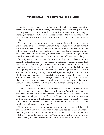occupation, asking veterans to explain in detail their experiences operating patrols and supply convoys, setting up checkpoints, conducting raids and arresting suspects. From these collected snapshots a common theme emerged. Fighting in densely populated urban areas has led to the indiscriminate use of force and the deaths at the hands of occupation troops of thousands of innocents.

Many of these veterans returned home deeply disturbed by the disparity between the reality of the war and the way it is portrayed by the US government and American media. The war the vets described is a dark and even depraved enterprise, one that bears a powerful resemblance to other misguided and brutal colonial wars and occupations, from the French occupation of Algeria to the American war in Vietnam and the Israeli occupation of Palestinian territory.

"I'll tell you the point where I really turned," said Spc. Michael Harmon, 24, a medic from Brooklyn. He served a thirteen-month tour beginning in April 2003 with the 167th Armor Regiment, Fourth Infantry Division, in Al-Rashidiya, a small town near Baghdad. "I go out to the scene and [there was] this little, you know, pudgy little 2-year-old child with cute little pudgy legs, and I look and she has a bullet through her leg.... An IED [improvised explosive device] went off, the gun-happy soldiers just started shooting anywhere and the baby got hit. And this baby looked at me, wasn't crying, wasn't anything, it just looked at me like – I know she couldn't speak. It might sound crazy, but she was like asking me why. You know, Why do I have a bullet in my leg?... I was just like, This is – this is it. This is ridiculous."

Much of the resentment toward Iraqis described to *The Nation* by veterans was confirmed in a report released May 4 by the Pentagon. According to the survey, conducted by the Office of the Surgeon General of the US Army Medical Command, just 47 percent of soldiers and 38 percent of marines agreed that civilians should be treated with dignity and respect. Only 55 percent of soldiers and 40 percent of marines said they would report a unit member who had killed or injured "an innocent noncombatant."

These attitudes reflect the limited contact occupation troops said they had with Iraqis. They rarely saw their enemy. They lived bottled up in heavily fortified compounds that often came under mortar attack. They only ventured outside their compounds ready for combat. The mounting frustration of fighting an elusive enemy and the devastating effect of roadside bombs, with their steady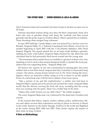toll of American dead and wounded, led many troops to declare an open war on all Iraqis.

Veterans described reckless firing once they left their compounds. Some shot holes into cans of gasoline being sold along the roadside and then tossed grenades into the pools of gas to set them ablaze. Others opened fire on children. These shootings often enraged Iraqi witnesses.

In June 2003 Staff Sgt. Camilo Mejía's unit was pressed by a furious crowd in Ramadi. Sergeant Mejía, 31, a National Guardsman from Miami, served for six months beginning in April 2003 with the 1-124 Infantry Battalion, Fifty-Third Infantry Brigade. His squad opened fire on an Iraqi youth holding a grenade, riddling his body with bullets. Sergeant Mejía checked his clip afterward and calculated that he had personally fired eleven rounds into the young man.

"The frustration that resulted from our inability to get back at those who were attacking us led to tactics that seemed designed simply to punish the local population that was supporting them," Sergeant Mejía said

We heard a few reports, in one case corroborated by photographs, that some soldiers had so lost their moral compass that they'd mocked or desecrated Iraqi corpses. One photo, among dozens turned over to *The Nation* during the investigation, shows an American soldier acting as if he is about to eat the spilled brains of a dead Iraqi man with his brown plastic Army-issue spoon.

"Take a picture of me and this motherfucker," a soldier who had been in Sergeant Mejía's squad said as he put his arm around the corpse. Sergeant Mejía recalls that the shroud covering the body fell away, revealing that the young man was wearing only his pants. There was a bullet hole in his chest.

"Damn, they really fucked you up, didn't they?" the soldier laughed.

The scene, Sergeant Mejía said, was witnessed by the dead man's brothers and cousins.

In the sections that follow, snipers, medics, military police, artillerymen, officers and others recount their experiences serving in places as diverse as Mosul in the north, Samarra in the Sunni Triangle, Nasiriya in the south and Baghdad in the center, during 2003, 2004 and 2005. Their stories capture the impact of their units on Iraqi civilians.

## **A Note on Methodology**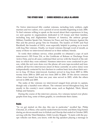*The Nation* interviewed fifty combat veterans, including forty soldiers, eight marines and two sailors, over a period of seven months beginning in July 2006. To find veterans willing to speak on the record about their experiences in Iraq, we sent queries to organizations dedicated to US troops and their families, including Iraq and Afghanistan Veterans of America, the antiwar groups Military Families Speak Out, Veterans for Peace and Iraq Veterans Against the War and the prowar group Vets for Freedom. The leaders of IVAW and Paul Rieckhoff, the founder of IAVA, were especially helpful in putting us in touch with Iraq War veterans. Finally, we found veterans through word of mouth, as many of those we interviewed referred us to their military friends.

To verify their military service, when possible we obtained a copy of each interviewee's DD Form 214, or the Certificate of Release or Discharge From Active Duty, and in all cases confirmed their service with the branch of the military in which they were enlisted. Nineteen interviews were conducted in person, while the rest were done over the phone; all were tape-recorded and transcribed; all but five interviewees (most of those currently on active duty) were independently contacted by fact checkers to confirm basic facts about their service in Iraq. Of those interviewed, fourteen served in Iraq from 2003 to 2004, twenty from 2004 to 2005 and two from 2005 to 2006. Of the eleven veterans whose tours lasted less than one year, nine served in 2003, while the others served in 2004 and 2005.

The ranks of the veterans we interviewed ranged from private to captain, though only a handful were officers. The veterans served throughout Iraq, but mostly in the country's most volatile areas, such as Baghdad, Tikrit, Mosul, Falluja and Samarra.

During the course of the interview process, five veterans turned over photographs from Iraq, some of them graphic, to corroborate their claims.

## **Raids**

"So we get started on this day, this one in particular," recalled Spc. Philip Chrystal, 23, of Reno, who said he raided between twenty and thirty Iraqi homes during an eleven-month tour in Kirkuk and Hawija that ended in October 2005, serving with the Third Battalion, 116th Cavalry Brigade. "It starts with the psyops vehicles out there, you know, with the big speakers playing a message in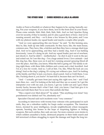Arabic or Farsi or Kurdish or whatever they happen to be, saying, basically, saying, Put your weapons, if you have them, next to the front door in your house. Please come outside, blah, blah, blah, blah, blah. And we had Apaches flying over for security, if they're needed, and it's also a good show of force. And we're running around, and they – we'd done a few houses by this point, and I was with my platoon leader, my squad leader and maybe a couple other people.

"And we were approaching this one house," he said. "In this farming area, they're, like, built up into little courtyards. So they have, like, the main house, common area. They have, like, a kitchen and then they have a storage shed-type deal. And we're approaching, and they had a family dog. And it was barking ferociously, 'cause it's doing its job. And my squad leader, just out of nowhere, just shoots it. And he didn't – motherfucker – he shot it and it went in the jaw and exited out. So I see this dog – I'm a huge animal lover; I love animals – and this dog has, like, these eyes on it and he's running around spraying blood all over the place. And like, you know, What the hell is going on? The family is sitting right there, with three little children and a mom and a dad, horrified. And I'm at a loss for words. And so, I yell at him. I'm, like, What the fuck are you doing? And so the dog's yelping. It's crying out without a jaw. And I'm looking at the family, and they're just, you know, dead scared. And so I told them, I was like, Fucking shoot it, you know? At least kill it, because that can't be fixed....

"And – I actually get tears from just saying this right now, but – and I had tears then, too – and I'm looking at the kids and they are so scared. So I got the interpreter over with me and, you know, I get my wallet out and I gave them twenty bucks, because that's what I had. And, you know, I had him give it to them and told them that I'm so sorry that asshole did that.

"Was a report ever filed about it?" he asked. "Was anything ever done? Any punishment ever dished out? No, absolutely not."

Specialist Chrystal said such incidents were "very common."

According to interviews with twenty-four veterans who participated in such raids, they are a relentless reality for Iraqis under occupation. The American forces, stymied by poor intelligence, invade neighborhoods where insurgents operate, bursting into homes in the hope of surprising fighters or finding weapons. But such catches, they said, are rare. Far more common were stories in which soldiers assaulted a home, destroyed property in their futile search and left terrorized civilians struggling to repair the damage and begin the long tor-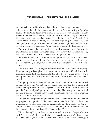ment of trying to find family members who were hauled away as suspects.

Raids normally took place between midnight and 5 am, according to Sgt. John Bruhns, 29, of Philadelphia, who estimates that he took part in raids of nearly 1,000 Iraqi homes. He served in Baghdad and Abu Ghraib, a city infamous for its prison, located twenty miles west of the capital, with the Third Brigade, First Armor Division, First Battalion, for one year beginning in March 2003. His descriptions of raid procedures closely echoed those of eight other veterans who served in locations as diverse as Kirkuk, Samarra, Baghdad, Mosul and Tikrit.

"You want to catch them off guard," Sergeant Bruhns explained. "You want to catch them in their sleep." About ten troops were involved in each raid, he said, with five stationed outside and the rest searching the home.

Once they were in front of the home, troops, some wearing Kevlar helmets and flak vests with grenade launchers mounted on their weapons, kicked the door in, according to Sergeant Bruhns, who dispassionately described the procedure:

"You run in. And if there's lights, you turn them on – if the lights are working. If not, you've got flashlights.... You leave one rifle team outside while one rifle team goes inside. Each rifle team leader has a headset on with an earpiece and a microphone where he can communicate with the other rifle team leader that's outside.

"You go up the stairs. You grab the man of the house. You rip him out of bed in front of his wife. You put him up against the wall. You have junior-level troops, PFCs [privates first class], specialists will run into the other rooms and grab the family, and you'll group them all together. Then you go into a room and you tear the room to shreds and you make sure there's no weapons or anything that they can use to attack us.

"You get the interpreter and you get the man of the home, and you have him at gunpoint, and you'll ask the interpreter to ask him: 'Do you have any weapons? Do you have any anti-US propaganda, anything at all – anything – anything in here that would lead us to believe that you are somehow involved in insurgent activity or anti-coalition forces activity?'

"Normally they'll say no, because that's normally the truth," Sergeant Bruhns said. "So what you'll do is you'll take his sofa cushions and you'll dump them. If he has a couch, you'll turn the couch upside down. You'll go into the fridge, if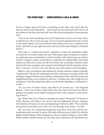he has a fridge, and you'll throw everything on the floor, and you'll take his drawers and you'll dump them.... You'll open up his closet and you'll throw all the clothes on the floor and basically leave his house looking like a hurricane just hit it.

"And if you find something, then you'll detain him. If not, you'll say, 'Sorry to disturb you. Have a nice evening.' So you've just humiliated this man in front of his entire family and terrorized his entire family and you've destroyed his home. And then you go right next door and you do the same thing in a hundred homes."

Each raid, or "cordon and search" operation, as they are sometimes called, involved five to twenty homes, he said. Following a spate of attacks on soldiers in a particular area, commanders would normally order infantrymen on raids to look for weapons caches, ammunition or materials for making IEDs. Each Iraqi family was allowed to keep one AK-47 at home, but according to Bruhns, those found with extra weapons were arrested and detained and the operation classified a "success," even if it was clear that no one in the home was an insurgent.

Before a raid, according to descriptions by several veterans, soldiers typically "quarantined" the area by barring anyone from coming in or leaving. In pre-raid briefings, Sergeant Bruhns said, military commanders often told their troops the neighborhood they were ordered to raid was "a hostile area with a high level of insurgency" and that it had been taken over by former Baathists or Al Qaeda terrorists.

"So you have all these troops, and they're all wound up," said Sergeant Bruhns. "And a lot of these troops think once they kick down the door there's going to be people on the inside waiting for them with weapons to start shooting at them."

Sgt. Dustin Flatt, 33, of Denver, estimates he raided "thousands" of homes in Tikrit, Samarra and Mosul. He served with the Eighteenth Infantry Brigade, First Infantry Division, for one year beginning in February 2004. "We scared the living Jesus out of them every time we went through every house," he said.

Spc. Ali Aoun, 23, a National Guardsman from New York City, said he conducted perimeter security in nearly 100 raids while serving in Sadr City with the Eighty-Ninth Military Police Brigade for eleven months starting in April 2004. When soldiers raided a home, he said, they first cordoned it off with Humvees.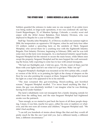Soldiers guarded the entrance to make sure no one escaped. If an entire town was being raided, in large-scale operations, it too was cordoned off, said Spc. Garett Reppenhagen, 32, of Manitou Springs, Colorado, a cavalry scout and sniper with the 263rd Armor Battalion, First Infantry Division, who was deployed to Baquba for a year in February 2004.

Staff Sgt. Timothy John Westphal, 31, of Denver, recalled one summer night in 2004, the temperature an oppressive 110 degrees, when he and forty-four other US soldiers raided a sprawling farm on the outskirts of Tikrit. Sergeant Westphal, who served there for a yearlong tour with the Eighteenth Infantry Brigade, First Infantry Division, beginning in February 2004, said he was told some men on the farm were insurgents. As a mechanized infantry squad leader, Sergeant Westphal led the mission to secure the main house, while fifteen men swept the property. Sergeant Westphal and his men hopped the wall surrounding the house, fully expecting to come face to face with armed insurgents.

"We had our flashlights and...I told my guys, 'On the count of three, just hit them with your lights and let's see what we've got here. Wake 'em up!'"

Sergeant Westphal's flashlight was mounted on his M-4 carbine rifle, a smaller version of the M-16, so in pointing his light at the clump of sleepers on the floor he was also pointing his weapon at them. Sergeant Westphal first turned his light on a man who appeared to be in his mid-60s.

"The man screamed this gut-wrenching, blood-curdling, just horrified scream," Sergeant Westphal recalled. "I've never heard anything like that. I mean, the guy was absolutely terrified. I can imagine what he was thinking, having lived under Saddam."

The farm's inhabitants were not insurgents but a family sleeping outside for relief from the stifling heat, and the man Sergeant Westphal had frightened awake was the patriarch.

"Sure enough, as we started to peel back the layers of all these people sleeping, I mean, it was him, maybe two guys...either his sons or nephews or whatever, and the rest were all women and children," Sergeant Westphal said. "We didn't find anything.

"I can tell you hundreds of stories about things like that and they would all pretty much be like the one I just told you. Just a different family, a different time, a different circumstance."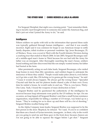For Sergeant Westphal, that night was a turning point. "I just remember thinking to myself, I just brought terror to someone else under the American flag, and that's just not what I joined the Army to do," he said.

# **Intelligence**

Fifteen soldiers we spoke with told us the information that spurred these raids was typically gathered through human intelligence – and that it was usually incorrect. Eight said it was common for Iraqis to use American troops to settle family disputes, tribal rivalries or personal vendettas. Sgt. Jesus Bocanegra, 25, of Weslaco, Texas, was a scout in Tikrit with the Fourth Infantry Division during a yearlong tour that ended in March 2004. In late 2003, Sergeant Bocanegra raided a middle-aged man's home in Tikrit because his son had told the Army his father was an insurgent. After thoroughly searching the man's house, soldiers found nothing and later discovered that the son simply wanted money his father had buried at the farm.

After persistently acting on such false leads, Sergeant Bocanegra, who raided Iraqi homes in more than fifty operations, said soldiers began to anticipate the innocence of those they raided. "People would make jokes about it, even before we'd go into a raid, like, Oh fucking we're gonna get the wrong house," he said. "'Cause it would always happen. We always got the wrong house." Specialist Chrystal said that he and his platoon leader shared a joke of their own: Every time he raided a house, he would radio in and say, "This is, you know, Thirty-One Lima. Yeah, I found the weapons of mass destruction in here."

Sergeant Bruhns said he questioned the authenticity of the intelligence he received because Iraqi informants were paid by the US military for tips. On one occasion, an Iraqi tipped off Sergeant Bruhns's unit that a small Syrian resistance organization, responsible for killing a number of US troops, was holed up in a house. "They're waiting for us to show up and there will be a lot of shooting," Sergeant Bruhns recalled being told.

As the Alpha Company team leader, Sergeant Bruhns was supposed to be the first person in the door. Skeptical, he refused. "So I said, 'If you're so confident that there are a bunch of Syrian terrorists, insurgents...in there, why in the world are you going to send me and three guys in the front door, because chances are I'm not going to be able to squeeze the trigger before I get shot.'" Sergeant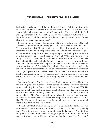Bruhns facetiously suggested they pull an M-2 Bradley Fighting Vehicle up to the house and shoot a missile through the front window to exterminate the enemy fighters his commanders claimed were inside. They instead diminished the aggressiveness of the raid. As Sergeant Bruhns ran security out front, his fellow soldiers smashed the windows and kicked down the doors to find "a few little kids, a woman and an old man."

In late summer 2005, in a village on the outskirts of Kirkuk, Specialist Chrystal searched a compound with two Iraqi police officers. A friendly man in his mid-30s escorted Specialist Chrystal and others in his unit around the property, where the man lived with his parents, wife and children, making jokes to lighten the mood. As they finished searching – they found nothing – a lieutenant from his company approached Specialist Chrystal: "What the hell were you doing?" he asked. "Well, we just searched the house and it's clear," Specialist Chrystal said. The lieutenant told Specialist Chrystal that his friendly guide was "one of the targets" of the raid. "Apparently he'd been dimed out by somebody as being an insurgent," Specialist Chrystal said. "For that mission, they'd only handed out the target sheets to officers, and officers aren't there with the rest of the troops." Specialist Chrystal said he felt "humiliated" because his assessment that the man posed no threat was deemed irrelevant and the man was arrested. Shortly afterward, he posted himself in a fighting vehicle for the rest of the mission.

Sgt. Larry Cannon, 27, of Salt Lake City, a Bradley gunner with the Eighteenth Infantry Brigade, First Infantry Division, served a yearlong tour in several cities in Iraq, including Tikrit, Samarra and Mosul, beginning in February 2004. He estimates that he searched more than a hundred homes in Tikrit and found the raids fruitless and maddening. "We would go on one raid of a house and that guy would say, 'No, it's not me, but I know where that guy is.' And...he'd take us to the next house where this target was supposedly at, and then that guy's like, 'No, it's not me. I know where he is, though.' And we'd drive around all night and go from raid to raid to raid."

"I can't really fault military intelligence," said Specialist Reppenhagen, who said he raided thirty homes in and around Baquba. "It was always a guessing game. We're in a country where we don't speak the language. We're light on interpreters. It's just impossible to really get anything. All you're going off is a pattern of what's happened before and hoping that the pattern doesn't change."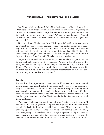Sgt. Geoffrey Millard, 26, of Buffalo, New York, served in Tikrit with the Rear Operations Center, Forty-Second Infantry Division, for one year beginning in October 2004. He said combat troops had neither the training nor the resources to investigate tips before acting on them. "We're not police," he said. "We don't go around like detectives and ask questions. We kick down doors, we go in, we grab people."

First Lieut. Brady Van Engelen, 26, of Washington, DC, said the Army depended on less than reliable sources because options were limited. He served as a survey platoon leader with the First Armored Division in Baghdad's volatile Adhamiya district for eight months beginning in September 2003. "That's really about the only thing we had," he said. "A lot of it was just going off a whim, a hope that it worked out," he said. "Maybe one in ten worked out."

Sergeant Bruhns said he uncovered illegal material about 10 percent of the time, an estimate echoed by other veterans. "We did find small materials for IEDs, like maybe a small piece of the wire, the detonating cord," said Sergeant Cannon. "We never found real bombs in the houses." In the thousand or so raids he conducted during his time in Iraq, Sergeant Westphal said, he came into contact with only four "hard-core insurgents."

## **Arrests**

Even with such slim pretexts for arrest, some soldiers said, any Iraqis arrested during a raid were treated with extreme suspicion. Several reported seeing military-age men detained without evidence or abused during questioning. Eight veterans said the men would typically be bound with plastic handcuffs, their heads covered with sandbags. While the Army officially banned the practice of hooding prisoners after the Abu Ghraib scandal broke, five soldiers indicated that it continued.

"You weren't allowed to, but it was still done," said Sergeant Cannon. "I remember in Mosul [in January 2005], we had guys in a raid and they threw them in the back of a Bradley," shackled and hooded. "These guys were really throwing up," he continued. "They were so sick and nervous. And sometimes, they were peeing on themselves. Can you imagine if people could just come into your house and take you in front of your family screaming? And if you actually were innocent but had no way to prove that? It would be a scary, scary thing."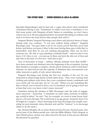Specialist Reppenhagen said he had only a vague idea about what constituted contraband during a raid. "Sometimes we didn't even have a translator, so we find some poster with Muqtada al-Sadr, Sistani or something, we don't know what it says on it. We just apprehend them, document that thing as evidence and send it on down the road and let other people deal with it."

Sergeant Bruhns, Sergeant Bocanegra and others said physical abuse of Iraqis during raids was common. "It was just soldiers being soldiers," Sergeant Bocanegra said. "You give them a lot of, too much, power that they never had before, and before you know it they're the ones kicking these guys while they're handcuffed. And then by you not catching [insurgents], when you do have someone say, 'Oh, this is a guy planting a roadside bomb' – and you don't even know if it's him or not – you just go in there and kick the shit out of him and take him in the back of a five-ton – take him to jail."

Tens of thousands of Iraqis – military officials estimate more than 60,000 – have been arrested and detained since the beginning of the occupation, leaving their families to navigate a complex, chaotic prison system in order to find them. Veterans we interviewed said the majority of detainees they encountered were either innocent or guilty of only minor infractions.

Sergeant Bocanegra said during the first two months of the war he was instructed to detain Iraqis based on their attire alone. "They were wearing Arab clothing and military-style boots, they were considered enemy combatants and you would cuff 'em and take 'em in," he said. "When you put something like that so broad, you're bound to have, out of a hundred, you're going to have ten at least that were, you know what I mean, innocent."

Sometime during the summer of 2003, Bocanegra said, the rules of engagement narrowed – somewhat. "I remember on some raids, anybody of military age would be taken," he said. "Say, for example, we went to some house looking for a 25-year-old male. We would look at an age group. Anybody from 15 to 30 might be a suspect." (Since returning from Iraq, Bocanegra has sought counseling for post-traumatic stress disorder and said his "mission" is to encourage others to do the same.)

Spc. Richard Murphy, 28, an Army Reservist from Pocono, Pennsylvania, who served part of his fifteen-month tour with the 800th Military Police Brigade in Abu Ghraib prison, said he was often struck by the lack of due process afforded the prisoners he guarded.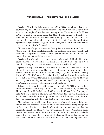Specialist Murphy initially went to Iraq in May 2003 to train Iraqi police in the southern city of Al Hillah but was transferred to Abu Ghraib in October 2003 when his unit replaced one that was rotating home. (He spoke with *The Nation* in October 2006, while not on active duty.) Shortly after his arrival there, he realized that the number of prisoners was growing "exponentially" while the amount of personnel remained stagnant. By the end of his six-month stint, Specialist Murphy was in charge of 320 prisoners, the majority of whom he was convinced were unjustly detained.

"I knew that a large percentage of these prisoners were innocent," he said. "Just living with these people for months you get to see their character.... In just listening to the prisoners' stories, I mean, I get the sense that a lot of them were just getting rounded up in big groups."

Specialist Murphy said one prisoner, a mentally impaired, blind albino who could "maybe see a few feet in front of his face" clearly did not belong in Abu Ghraib. "I thought to myself, What could he have possibly done?"

Specialist Murphy counted the prisoners twice a day, and the inmates would often ask him when they would be released or implore him to advocate on their behalf, which he would try to do through the JAG (Judge Advocate General) Corps office. The JAG officer Specialist Murphy dealt with would respond that it was out of his hands. "He would make his recommendations and he'd have to send it up to the next higher command," Specialist Murphy said. "It was just a snail's crawling process.... The system wasn't working."

Prisoners at the notorious facility rioted on November 24, 2003, to protest their living conditions, and Army Reserve Spc. Aidan Delgado, 25, of Sarasota, Florida, was there. He had deployed with the 320th Military Police Company to Talil Air Base, to serve in Nasiriya and Abu Ghraib for one year beginning in April 2003. Unlike the other troops in his unit, he did not respond to the riot. Four months earlier he had decided to stop carrying a loaded weapon.

Nine prisoners were killed and three wounded after soldiers opened fire during the riot, and Specialist Delgado's fellow soldiers returned with photographs of the events. The images, disturbingly similar to the incident described by Sergeant Mejía, shocked him. "It was very graphic," he said. "A head split open. One of them was of two soldiers in the back of the truck. They open the body bags of these prisoners that were shot in the head and [one soldier has] got an MRE spoon. He's reaching in to scoop out some of his brain, looking at the cam-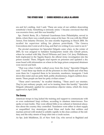era and he's smiling. And I said, 'These are some of our soldiers desecrating somebody's body. Something is seriously amiss.' I became convinced that this was excessive force, and this was brutality."

Spc. Patrick Resta, 29, a National Guardsman from Philadelphia, served in Jalula, where there was a small prison camp at his base. He was with the 252nd Armor, First Infantry Division, for nine months beginning in March 2004. He recalled his supervisor telling his platoon point-blank, "The Geneva Conventions don't exist at all in Iraq, and that's in writing if you want to see it."

The pivotal experience for Specialist Delgado came when, in the winter of 2003, he was assigned to battalion headquarters inside Abu Ghraib prison, where he worked with Maj. David DiNenna and Lieut. Col. Jerry Phillabaum, both implicated in the Taguba Report, the official Army investigation into the prison scandal. There, Delgado read reports on prisoners and updated a dry erase board with information on where in the large prison compound detainees were moved and held.

"That was when I totally walked away from the Army," Specialist Delgado said. "I read these rap sheets on all the prisoners in Abu Ghraib and what they were there for. I expected them to be terrorists, murderers, insurgents. I look down this roster and see petty theft, public drunkenness, forged coalition documents. These people are here for petty civilian crimes."

"These aren't terrorists," he recalled thinking. "These aren't our enemies. They're just ordinary people, and we're treating them this harshly." Specialist Delgado ultimately applied for conscientious objector status, which the Army approved in April 2004.

## **The Enemy**

American troops in Iraq lacked the training and support to communicate with or even understand Iraqi civilians, according to nineteen interviewees. Few spoke or read Arabic. They were offered little or no cultural or historical education about the country they controlled. Translators were either in short supply or unqualified. Any stereotypes about Islam and Arabs that soldiers and marines arrived with tended to solidify rapidly in the close confines of the military and the risky streets of Iraqi cities into a crude racism.

As Spc. Josh Middleton, 23, of New York City, who served in Baghdad and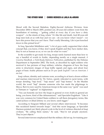Mosul with the Second Battalion, Eighty-Second Airborne Division, from December 2004 to March 2005, pointed out, 20-year-old soldiers went from the humiliation of training – "getting yelled at every day if you have a dirty weapon" – to the streets of Iraq, where "it's like life and death. And 40-year-old Iraqi men look at us with fear and we can – do you know what I mean? – we have this power that you can't have. That's really liberating. Life is just knocked down to this primal level."

In Iraq, Specialist Middleton said, "a lot of guys really supported that whole concept that, you know, if they don't speak English and they have darker skin, they're not as human as us, so we can do what we want."

In the scramble to get ready for Iraq, troops rarely learned more than how to say a handful of words in Arabic, depending mostly on a single manual, *A Country Handbook, a Field-Ready Reference Publication*, published by the Defense Department in September 2002. The book, as described by eight soldiers who received it, has pictures of Iraqi military vehicles, diagrams of how the Iraqi army is structured, images of Iraqi traffic signals and signs, and about four pages of basic Arabic phrases such as *Do you speak English? I am an American. I am lost.*

Iraqi culture, identity and customs were, according to at least a dozen soldiers and marines interviewed by *The Nation*, openly ridiculed in racist terms, with troops deriding "haji food," "haji music" and "haji homes." In the Muslim world, the word "haji" denotes someone who has made the pilgrimage to Mecca. But it is now used by American troops in the same way "gook" was used in Vietnam or "raghead" in Afghanistan.

"You can honestly see how the Iraqis in general or even Arabs in general are being, you know, kind of like dehumanized," said Specialist Englehart. "Like it was very common for United States soldiers to call them derogatory terms, like camel jockeys or Jihad Johnny or, you know, sand nigger."

According to Sergeant Millard and several others interviewed, "It becomes this racialized hatred towards Iraqis." And this racist language, as Specialist Harmon pointed out, likely played a role in the level of violence directed at Iraqi civilians. "By calling them names," he said, "they're not people anymore. They're just objects."

Several interviewees emphasized that the military did set up, for training pur-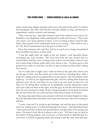poses, mock Iraqi villages peopled with actors who played the parts of civilians and insurgents. But they said that the constant danger in Iraq, and the fear it engendered, swiftly overtook such training.

"They were the law," Specialist Harmon said of the soldiers in his unit in Al-Rashidiya, near Baghdad, which participated in raids and convoys. "They were very mean, very mean-spirited to them. A lot of cursing at them. And I'm like, Dude, these people don't understand what you're saying.... They used to say a lot, 'Oh, they'll understand when the gun is in their face.'"

Those few veterans who said they did try to reach out to Iraqis encountered fierce hostility from those in their units.

"I had the night shift one night at the aid station," said Specialist Resta, recounting one such incident. "We were told from the first second that we arrived there, and this was in writing on the wall in our aid station, that we were not to treat Iraqi civilians unless they were about to die.... So these guys in the guard tower radio in, and they say they've got an Iraqi out there that's asking for a doctor.

"So it's really late at night, and I walk out there to the gate and I don't even see the guy at first, and they point out to him and he's standing there. Well, I mean he's sitting, leaned up against this concrete barrier – like the median of the highway – we had as you approached the gate. And he's sitting there leaned up against it and, uh, he's out there, if you want to go and check on him, he's out there. So I'm sitting there waiting for an interpreter, and the interpreter comes and I just walk out there in the open. And this guy, he has the shit kicked out of him. He was missing two teeth. He has a huge laceration on his head, he looked like he had broken his eye orbit and had some kind of injury to his knee."

The Iraqi, Specialist Resta said, pleaded with him in broken English for help. He told Specialist Resta that there were men near the base who were waiting to kill him.

"I open a bag and I'm trying to get bandages out and the guys in the guard tower are yelling at me, 'Get that fucking haji out of here,'" Specialist Resta said. "And I just look back at them and ignored them, and then they were saying, you know, 'He doesn't look like he's about to die to me,' 'Tell him to go cry back to the fuckin' IP [Iraqi police],' and, you know, a whole bunch of stuff like that. So, you know, I'm kind of ignoring them and trying to get the story from this guy,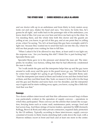and our doctor rolls up in an ambulance and from thirty to forty meters away looks out and says, shakes his head and says, 'You know, he looks fine, he's gonna be all right,' and walks back to the passenger side of the ambulance, you know, kind of like, Get your ass over here and drive me back up to the clinic. So I'm standing there, and the whole time both this doctor and the guards are yelling at me, you know, to get rid of this guy, and at one point they're yelling at me, when I'm saying, 'No, let's at least keep this guy here overnight, until it's light out,' because they wanted me to send him back out into the city, where he told me that people were waiting for him to kill him.

"When I asked if he'd be allowed to stay there, at least until it was light out, the response was, 'Are you hearing this shit? I think Doc is part fucking haji,'" Specialist Resta said.

Specialist Resta gave in to the pressure and denied the man aid. The interpreter, he recalled, was furious, telling him that he had effectively condemned the man to death.

"So I walk inside the gate and the interpreter helps him up and the guy turns around to walk away and the guys in the guard tower go, say, 'Tell him that if he comes back tonight he's going to get fucking shot,'" Specialist Resta said. "And the interpreter just stared at them and looked at me and then looked back at them, and they nod their head, like, Yeah, we mean it. So he yells it to the Iraqi and the guy just flinches and turns back over his shoulder, and the interpreter says it again and he starts walking away again, you know, crying like a little kid. And that was that."

## **Convoys**

Two dozen soldiers interviewed said that this callousness toward Iraqi civilians was particularly evident in the operation of supply convoys – operations in which they participated. These convoys are the arteries that sustain the occupation, ferrying items such as water, mail, maintenance parts, sewage, food and fuel across Iraq. And these strings of tractor-trailers, operated by KBR (formerly Kellogg, Brown & Root) and other private contractors, required daily protection by the US military. Typically, according to these interviewees, supply convoys consisted of twenty to thirty trucks stretching half a mile down the road, with a Humvee military escort in front and back and at least one more in the center.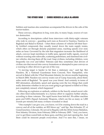Soldiers and marines also sometimes accompanied the drivers in the cabs of the tractor-trailers.

These convoys, ubiquitous in Iraq, were also, to many Iraqis, sources of wanton destruction.

According to descriptions culled from interviews with thirty-eight veterans who rode in convoys – guarding such runs as Kuwait to Nasiriya, Nasiriya to Baghdad and Balad to Kirkuk – when these columns of vehicles left their heavily fortified compounds they usually roared down the main supply routes, which often cut through densely populated areas, reaching speeds over sixty miles an hour. Governed by the rule that stagnation increases the likelihood of attack, convoys leapt meridians in traffic jams, ignored traffic signals, swerved without warning onto sidewalks, scattering pedestrians, and slammed into civilian vehicles, shoving them off the road. Iraqi civilians, including children, were frequently run over and killed. Veterans said they sometimes shot drivers of civilian cars that moved into convoy formations or attempted to pass convoys as a warning to other drivers to get out of the way.

"A moving target is harder to hit than a stationary one," said Sgt. Ben Flanders, 28, a National Guardsman from Concord, New Hampshire, who served in Balad with the 172nd Mountain Infantry for eleven months beginning in March 2004. Flanders ran convoy routes out of Camp Anaconda, about thirty miles north of Baghdad. "So speed was your friend. And certainly in terms of IED detonation, absolutely, speed and spacing were the two things that could really determine whether or not you were going to get injured or killed or if they just completely missed, which happened."

Following an explosion or ambush, soldiers in the heavily armed escort vehicles often fired indiscriminately in a furious effort to suppress further attacks, according to three veterans. The rapid bursts from belt-fed .50-caliber machine guns and SAWs (Squad Automatic Weapons, which can fire as many as 1,000 rounds per minute) left many civilians wounded or dead.

"One example I can give you, you know, we'd be cruising down the road in a convoy and all of the sudden, an IED blows up," said Spc. Ben Schrader, 27, of Grand Junction, Colorado. He served in Baquba with the 263rd Armor Battalion, First Infantry Division, from February 2004 to February 2005. "And, you know, you've got these scared kids on these guns, and they just start opening fire. And there could be innocent people everywhere. And I've seen this, I mean, on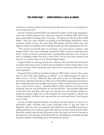numerous occasions where innocent people died because we're cruising down and a bomb goes off."

Several veterans said that IEDs, the preferred weapon of the Iraqi insurgency, were one of their greatest fears. Since the invasion in March 2003, IEDs have been responsible for killing more US troops – 39.2 percent of the more than 3,500 killed – than any other method, according to the Brookings Institution, which monitors deaths in Iraq. This past May, IED attacks claimed ninety lives, the highest number of fatalities from roadside bombs since the beginning of the war.

"The second you left the gate of your base, you were always worried," said Sergeant Flatt. "You were constantly watchful for IEDs. And you could never see them. I mean, it's just by pure luck who's getting killed and who's not. If you've been in firefights earlier that day or that week, you're even more stressed and insecure to a point where you're almost trigger-happy."

Sergeant Flatt was among twenty-four veterans who said they had witnessed or heard stories from those in their unit of unarmed civilians being shot or run over by convoys. These incidents, they said, were so numerous that many were never reported.

Sergeant Flatt recalled an incident in January 2005 when a convoy drove past him on one of the main highways in Mosul. "A car following got too close to their convoy," he said. "Basically, they took shots at the car. Warning shots, I don't know. But they shot the car. Well, one of the bullets happened to just pierce the windshield and went straight into the face of this woman in the car. And she was – well, as far as I know – instantly killed. I didn't pull her out of the car or anything. Her son was driving the car, and she had her – she had three little girls in the back seat. And they came up to us, because we were actually sitting in a defensive position right next to the hospital, the main hospital in Mosul, the civilian hospital. And they drove up and she was obviously dead. And the girls were crying."

On July 30, 2004, Sergeant Flanders was riding in the tail vehicle of a convoy on a pitch-black night, traveling from Camp Anaconda south to Taji, just north of Baghdad, when his unit was attacked with small-arms fire and RPGs (rocket-propelled grenades). He was about to get on the radio to warn the vehicle in front of him about the ambush when he saw his gunner unlock the turret and swivel it around in the direction of the shooting. He fired his MK-19, a 40-millimeter automatic grenade launcher capable of discharging up to 350 rounds per minute.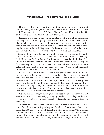"He's just holding the trigger down and it wound up jamming, so he didn't get off as many shots maybe as he wanted," Sergeant Flanders recalled. "But I said, 'How many did you get off?' 'Cause I knew they would be asking that. He said, 'Twenty-three.' He launched twenty-three grenades....

"I remember looking out the window and I saw a little hut, a little Iraqi house with a light on.... We were going so fast and obviously your adrenaline's – you're like tunnel vision, so you can't really see what's going on, you know? And it's dark out and all that stuff. I couldn't really see where the grenades were exploding, but it had to be exploding around the house or maybe even hit the house. Who knows? Who knows? And we were the last vehicle. We can't stop."

Convoys did not slow down or attempt to brake when civilians inadvertently got in front of their vehicles, according to the veterans who described them. Sgt. Kelly Dougherty, 29, from Cañon City, Colorado, was based at the Talil Air Base in Nasiriya with the Colorado National Guard's 220th Military Police Company for a year beginning in February 2003. She recounted one incident she investigated in January 2004 on a six-lane highway south of Nasiriya that resembled numerous incidents described by other veterans.

"It's like very barren desert, so most of the people that live there, they're nomadic or they live in just little villages and have, like, camels and goats and stuff," she recalled. "There was then a little boy – I would say he was about 10 because we didn't see the accident; we responded to it with the investigative team – a little Iraqi boy and he was crossing the highway with his, with three donkeys. A military convoy, transportation convoy driving north, hit him and the donkeys and killed all of them. When we got there, there were the dead donkeys and there was a little boy on the side of the road.

"We saw him there and, you know, we were upset because the convoy didn't even stop," she said. "They really, judging by the skid marks, they hardly even slowed down. But, I mean, that's basically – basically, your order is that you never stop."

Among supply convoys, there were enormous disparities based on the nationality of the drivers, according to Sergeant Flanders, who estimated that he ran more than 100 convoys in Balad, Baghdad, Falluja and Baquba. When drivers were not American, the trucks were often old, slow and prone to breakdowns, he said. The convoys operated by Nepalese, Egyptian or Pakistani drivers did not receive the same level of security, although the danger was more severe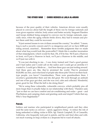because of the poor quality of their vehicles. American drivers were usually placed in convoys about half the length of those run by foreign nationals and were given superior vehicles, body armor and better security. Sergeant Flanders said troops disliked being assigned to convoys run by foreign nationals, especially since, when the aging vehicles broke down, they had to remain and protect them until they could be recovered.

"It just seemed insane to run civilians around the country," he added. "I mean, Iraq is such a security concern and it's so dangerous and yet we have KBR just riding around, unarmed.... Remember those terrible judgments that we made about what Iraq would look like postconflict? I think this is another incarnation of that misjudgment, which would be that, Oh, it'll be fine. We'll put a Humvee in front, we'll put a Humvee in back, we'll put a Humvee in the middle, and we'll just run with it.

"It was just shocking to me.... I was Army trained and I had a good gunner and I had radios and I could call on the radios and I could get an airstrike if I wanted to. I could get a Medevac.... And here these guys are just tooling around. And these guys are, like, they're promised the world. They're promised \$120,000, tax free, and what kind of people take those jobs? Down-on-their-lucktype people, you know? Grandmothers. There were grandmothers there. I escorted a grandmother there and she did great. We went through an ambush and one of her guys got shot, and she was cool, calm and collected. Wonderful, great, good for her. What the hell is she doing there?

"We're using these vulnerable, vulnerable convoys, which probably piss off more Iraqis than it actually helps in our relationship with them," Flanders said, "just so that we can have comfort and air-conditioning and sodas – great – and PlayStations and camping chairs and greeting cards and stupid T-shirts that say, Who's Your Baghdaddy?"

# **Patrols**

Soldiers and marines who participated in neighborhood patrols said they often used the same tactics as convoys – speed, aggressive firing – to reduce the risk of being ambushed or falling victim to IEDs. Sgt. Patrick Campbell, 29, of Camarillo, California, who frequently took part in patrols, said his unit fired often and without much warning on Iraqi civilians in a desperate bid to ward off attacks.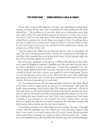"Every time we got on the highway," he said, "we were firing warning shots, causing accidents all the time. Cars screeching to a stop, going into the other intersection.... The problem is, if you slow down at an intersection more than once, that's where the next bomb is going to be because you know they watch. You know? And so if you slow down at the same choke point every time, guaranteed there's going to be a bomb there next couple of days. So getting onto a freeway or highway is a choke point 'cause you have to wait for traffic to stop. So you want to go as fast as you can, and that involves added risk to all the cars around you, all the civilian cars.

"The first Iraqi I saw killed was an Iraqi who got too close to our patrol," he said. "We were coming up an on-ramp. And he was coming down the highway. And they fired warning shots and he just didn't stop. He just merged right into the convoy and they opened up on him."

This took place sometime in the spring of 2005 in Khadamiya, in the northwest corner of Baghdad, Sergeant Campbell said. His unit fired into the man's car with a 240 Bravo, a heavy machine gun. "I heard three gunshots," he said. "We get about halfway down the road and...the guy in the car got out and he's covered in blood. And this is where...the impulse is just to keep going. There's no way that this guy knows who we are. We're just like every other patrol that goes up and down this road. I looked at my lieutenant and it wasn't even a discussion. We turned around and we went back.

"So I'm treating the guy. He has three gunshot wounds to the chest. Blood everywhere. And he keeps going in and out of consciousness. And when he finally stops breathing, I have to give him CPR. I take my right hand, I lift up his chin and I take my left hand and grab the back of his head to position his head, and as I take my left hand, my hand actually goes into his cranium. So I'm actually holding this man's brain in my hand. And what I realized was I had made a mistake. I had checked for exit wounds. But what I didn't know was the Humvee behind me, after the car failed to stop after the first three rounds, had fired twenty, thirty rounds into the car. I never heard it.

"I heard three rounds, I saw three holes, no exit wounds," he said. "I thought I knew what the situation was. So I didn't even treat this guy's injury to the head. Every medic I ever told is always like, Of course, I mean, the guy got shot in the head. There's nothing you could have done. And I'm pretty sure – I mean, you can't stop bleeding in the head like that. But this guy, I'm watching this guy,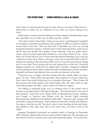who I know we shot because he got too close. His car was clean. There was no – didn't hear it, didn't see us, whatever it was. Dies, you know, dying in my arms."

While many veterans said the killing of civilians deeply disturbed them, they also said there was no other way to safely operate a patrol.

"You don't want to shoot kids, I mean, no one does," said Sergeant Campbell, as he began to describe an incident in the summer of 2005 recounted to him by several men in his unit. "But you have this: I remember my unit was coming along this elevated overpass. And this kid is in the trash pile below, pulls out an AK-47 and just decides he's going to start shooting. And you gotta understand...when you have spent nine months in a war zone, where no one – every time you've been shot at, you've never seen the person shooting at you, and you could never shoot back. Here's some guy, some 14-year-old kid with an AK-47, decides he's going to start shooting at this convoy. It was the most obscene thing you've ever seen. Every person got out and opened fire on this kid. Using the biggest weapons we could find, we ripped him to shreds." Sergeant Campbell was not present at the incident, which took place in Khadamiya, but he saw photographs and heard descriptions from several eyewitnesses in his unit.

"Everyone was so happy, like this release that they finally killed an insurgent," he said. "Then when they got there, they realized it was just a little kid. And I know that really fucked up a lot of people in the head.... They'd show all the pictures and some people were really happy, like, Oh, look what we did. And other people were like, I don't want to see that ever again."

The killing of unarmed Iraqis was so common many of the troops said it became an accepted part of the daily landscape. "The ground forces were put in that position," said First Lieut. Wade Zirkle of Shenandoah County, Virginia, who fought in Nasiriya and Falluja with the Second Light Armored Reconnaissance Battalion from March to May 2003. "You got a guy trying to kill me but he's firing from houses...with civilians around him, women and children. You know, what do you do? You don't want to risk shooting at him and shooting children at the same time. But at the same time, you don't want to die either."

Sergeant Dougherty recounted an incident north of Nasiriya in December 2003, when her squad leader shot an Iraqi civilian in the back. The shooting was described to her by a woman in her unit who treated the injury. "It was just, like,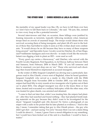the mentality of my squad leader was like, Oh, we have to kill them over here so I don't have to kill them back in Colorado," she said. "He just, like, seemed to view every Iraqi as like a potential terrorist."

Several interviewees said that, on occasion, these killings were justified by framing innocents as terrorists, typically following incidents when American troops fired on crowds of unarmed Iraqis. The troops would detain those who survived, accusing them of being insurgents, and plant AK-47s next to the bodies of those they had killed to make it seem as if the civilian dead were combatants. "It would always be an AK because they have so many of these weapons lying around," said Specialist Aoun. Cavalry scout Joe Hatcher, 26, of San Diego, said 9-millimeter handguns and even shovels – to make it look like the noncombatant was digging a hole to plant an IED – were used as well.

"Every good cop carries a throwaway," said Hatcher, who served with the Fourth Cavalry Regiment, First Squadron, in Ad Dawar, halfway between Tikrit and Samarra, from February 2004 to March 2005. "If you kill someone and they're unarmed, you just drop one on 'em." Those who survived such shootings then found themselves imprisoned as accused insurgents.

In the winter of 2004, Sergeant Campbell was driving near a particularly dangerous road in Abu Gharth, a town west of Baghdad, when he heard gunshots. Sergeant Campbell, who served as a medic in Abu Gharth with the 256th Infantry Brigade from November 2004 to October 2005, was told that Army snipers had fired fifty to sixty rounds at two insurgents who'd gotten out of their car to plant IEDs. One alleged insurgent was shot in the knees three or four times, treated and evacuated on a military helicopter, while the other man, who was treated for glass shards, was arrested and detained.

"I come to find out later that, while I was treating him, the snipers had planted – after they had searched and found nothing – they had planted bomb-making materials on the guy because they didn't want to be investigated for the shoot," Sergeant Campbell said. (He showed *The Nation* a photograph of one sniper with a radio in his pocket that he later planted as evidence.) "And to this day, I mean, I remember taking that guy to Abu Ghraib prison – the guy who didn't get shot – and just saying 'I'm sorry' because there was not a damn thing I could do about it.... I mean, I guess I have a moral obligation to say something, but I would have been kicked out of the unit in a heartbeat. I would've been a traitor."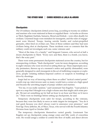# **Checkpoints**

The US military checkpoints dotted across Iraq, according to twenty-six soldiers and marines who were stationed at them or supplied them – in locales as diverse as Tikrit, Baghdad, Karbala, Samarra, Mosul and Kirkuk – were often deadly for civilians. Unarmed Iraqis were mistaken for insurgents, and the rules of engagement were blurred. Troops, fearing suicide bombs and rocket-propelled grenades, often fired on civilian cars. Nine of those soldiers said they had seen civilians being shot at checkpoints. These incidents were so common that the military could not investigate each one, some veterans said.

"Most of the time, it's a family," said Sergeant Cannon, who served at half a dozen checkpoints in Tikrit. "Every now and then, there is a bomb, you know, that's the scary part."

There were some permanent checkpoints stationed across the country, but for unsuspecting civilians, "flash checkpoints" were far more dangerous, according to eight veterans who were involved in setting them up. These impromptu security perimeters, thrown up at a moment's notice and quickly dismantled, were generally designed to catch insurgents in the act of trafficking weapons or explosives, people violating military-imposed curfews or suspects in bombings or drive-by shootings.

Iraqis had no way of knowing where these so-called "tactical control points" would crop up, interviewees said, so many would turn a corner at a high speed and became the unwitting targets of jumpy soldiers and marines.

"For me, it was really random," said Lieutenant Van Engelen. "I just picked a spot on a map that I thought was a high-volume area that might catch some people. We just set something up for half an hour to an hour and then we'd move on." There were no briefings before setting up checkpoints, he said.

Temporary checkpoints were safer for troops, according to the veterans, because they were less likely to serve as static targets for insurgents. "You do it real quick because you don't always want to announce your presence," said First Sgt. Perry Jefferies, 46, of Waco, Texas, who served with the Fourth Infantry Division from April to October 2003.

The temporary checkpoints themselves varied greatly. Lieutenant Van Engelen set up checkpoints using orange cones and fifty yards of concertina wire. He would assign a soldier to control the flow of traffic and direct drivers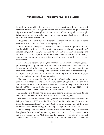through the wire, while others searched vehicles, questioned drivers and asked for identification. He said signs in English and Arabic warned Iraqis to stop; at night, troops used lasers, glow sticks or tracer bullets to signal cars through. When those weren't available, troops improvised by using flashlights sent them by family and friends back home.

"Baghdad is not well lit," said Sergeant Flanders. "There's not street lights everywhere. You can't really tell what's going on."

Other troops, however, said they constructed tactical control points that were hardly visible to drivers. "We didn't have cones, we didn't have nothing," recalled Sergeant Bocanegra, who said he served at more than ten checkpoints in Tikrit. "You literally put rocks on the side of the road and tell them to stop. And of course some cars are not going to see the rocks. I wouldn't even see the rocks myself."

According to Sergeant Flanders, the primary concern when assembling checkpoints was protecting the troops serving there. Humvees were positioned so that they could quickly drive away if necessary, and the heavy weapons mounted on them were placed "in the best possible position" to fire on vehicles that attempted to pass through the checkpoint without stopping. And the rules of engagement were often improvised, soldiers said.

"We were given a long list of that kind of stuff and, to be honest, a lot of the time we would look at it and throw it away," said Staff Sgt. James Zuelow, 39, a National Guardsman from Juneau, Alaska, who served in Baghdad in the Third Battalion, 297th Infantry Regiment, for a year beginning in January 2005. "A lot of it was written at such a high level it didn't apply."

At checkpoints, troops had to make split-second decisions on when to use lethal force, and veterans said fear often clouded their judgment.

Sgt. Matt Mardan, 31, of Minneapolis, served as a Marine scout sniper outside Falluja in 2004 and 2005 with the Third Battalion, First Marines. "People think that's dangerous, and it is," he said. "But I would do that any day of the week rather than be a marine sitting on a fucking checkpoint looking at cars."

No car that passes through a checkpoint is beyond suspicion, said Sergeant Dougherty. "You start looking at everyone as a criminal.... Is this the car that's going to try to run into me? Is this the car that has explosives in it? Or is this just someone who's confused?" The perpetual uncertainty, she said, is mentally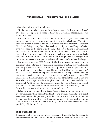exhausting and physically debilitating.

"In the moment, what's passing through your head is, Is this person a threat? Do I shoot to stop or do I shoot to kill?" said Lieutenant Morgenstein, who served in Al Anbar.

Sergeant Mejía recounted an incident in Ramadi in July 2003 when an unarmed man drove with his young son too close to a checkpoint. The father was decapitated in front of the small, terrified boy by a member of Sergeant Mejía's unit firing a heavy .50-caliber machine gun. By then, said Sergeant Mejía, who responded to the scene after the fact, "this sort of killing of civilians had long ceased to arouse much interest or even comment." The next month, Sergeant Mejía returned stateside for a two-week rest and refused to go back, launching a public protest over the treatment of Iraqis. (He was charged with desertion, sentenced to one year in prison and given a bad-conduct discharge.)

During the summer of 2005, Sergeant Millard, who served as an assistant to a general in Tikrit, attended a briefing on a checkpoint shooting, at which his role was to flip PowerPoint slides. "This unit sets up this traffic control point, and this 18-year-old kid is on top of an armored Humvee with a .50-caliber machine gun," he said. "This car speeds at him pretty quick and he makes a split-second decision that that's a suicide bomber, and he presses the butterfly trigger and puts 200 rounds in less than a minute into this vehicle. It killed the mother, a father and two kids. The boy was aged 4 and the daughter was aged 3. And they briefed this to the general. And they briefed it gruesome. I mean, they had pictures. They briefed it to him. And this colonel turns around to this full division staff and says, 'If these fucking hajis learned to drive, this shit wouldn't happen.'"

Whether or not commanding officers shared this attitude, interviewees said, troops were rarely held accountable for shooting civilians at checkpoints. Eight veterans described the prevailing attitude among them as "Better to be tried by twelve men than carried by six." Since the number of troops tried for killing civilians is so scant, interviewees said, they would risk court-martial over the possibility of injury or death.

#### **Rules of Engagement**

Indeed, several troops said the rules of engagement were fluid and designed to insure their safety above all else. Some said they were simply told they were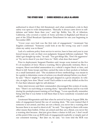authorized to shoot if they felt threatened, and what constituted a risk to their safety was open to wide interpretation. "Basically it always came down to selfdefense and better them than you," said Sgt. Bobby Yen, 28, of Atherton, California, who covered a variety of Army activities in Baghdad and Mosul as part of the 222nd Broadcast Operations Detachment for one year beginning in November 2003.

"Cover your own butt was the first rule of engagement," Lieutenant Van Engelen confirmed. "Someone could look at me the wrong way and I could claim my safety was in threat."

Lack of a uniform policy from service to service, base to base and year to year forced troops to rely on their own judgment, Sergeant Jefferies explained. "We didn't get straight-up rules," he said. "You got things like, 'Don't be aggressive' or 'Try not to shoot if you don't have to.' Well, what does that mean?"

Prior to deployment, Sergeant Flanders said, troops were trained on the five S's of escalation of force: Shout a warning, Shove (physically restrain), Show a weapon, Shoot non-lethal ammunition in a vehicle's engine block or tires, and Shoot to kill. Some troops said they carried the rules in their pockets or helmets on a small laminated card. "The escalation-of-force methodology was meant to be a guide to determine course of actions you should attempt before you shoot," he said. "'Shove' might be a step that gets skipped in a given situation. In vehicles, at night, how does 'Shout' work? Each soldier is not only drilled on the five S's but their inherent right for self-defense."

Some interviewees said their commanders discouraged this system of escalation. "There's no such thing as warning shots," Specialist Resta said he was told during his predeployment training at Fort Bragg. "I even specifically remember being told that it was better to kill them than to have somebody wounded and still alive."

Lieutenant Morgenstein said that when he arrived in Iraq in August 2004, the rules of engagement barred the use of warning shots. "We were trained that if someone is not armed, and they are not a threat, you never fire a warning shot because there is no need to shoot at all," he said. "You signal to them with some other means than bullets. If they are armed and they are a threat, you never fire a warning shot because...that just gives them a chance to kill you. I don't recall at this point if this was an ROE [rule of engagement] explicitly or simply part of our consistent training." But later on, he said, "we were told the ROE was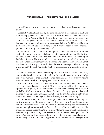changed" and that warning shots were now explicitly allowed in certain circumstances.

Sergeant Westphal said that by the time he arrived in Iraq earlier in 2004, the rules of engagement for checkpoints were more refined – at least where he served with the Army in Tikrit. "If they didn't stop, you were to fire a warning shot," said Sergeant Westphal. "If they still continued to come, you were instructed to escalate and point your weapon at their car. And if they still didn't stop, then, if you felt you were in danger and they were about to run your checkpoint or blow you up, you could engage."

In his initial training, Lieutenant Morgenstein said, marines were cautioned against the use of warning shots because "others around you could be hurt by the stray bullet," and in fact such incidents were not unusual. One evening in Baghdad, Sergeant Zuelow recalled, a van roared up to a checkpoint where another platoon in his company was stationed and a soldier fired a warning shot that bounced off the ground and killed the van's passenger. "That was a big wake-up call," he said, "and after that we discouraged warning shots of any kind."

Many checkpoint incidents went unreported, a number of veterans indicated, and the civilians killed were not included in the overall casualty count. Yet judging by the number of checkpoint shootings described to *The Nation* by veterans we interviewed, such shootings appear to be quite common.

Sergeant Flatt recounted one incident in Mosul in January 2005 when an elderly couple zipped past a checkpoint. "The car was approaching what was in my opinion a very poorly marked checkpoint, or not even a checkpoint at all, and probably didn't even see the soldiers," he said. "The guys got spooked and decided it was a possible threat, so they shot up the car. And they literally sat in the car for the next three days while we drove by them day after day."

In another incident, a man was driving his wife and three children in a pickup truck on a major highway north of the Euphrates, near Ramadi, on a rainy day in February or March 2005. When the man failed to stop at a checkpoint, a marine in a light-armored vehicle fired on the car, killing the wife and critically wounding the son. According to Lieutenant Morgenstein, a civil affairs officer, a JAG official gave the family condolences and about \$3,000 in compensation. "I mean, it's a terrible thing because there's no way to pay money to replace a family member," said Lieutenant Morgenstein, who was sometimes charged with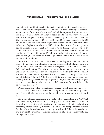apologizing to families for accidental deaths and offering them such compensation, called "condolence payments" or "solatia." "But it's an attempt to compensate for some of the costs of the funeral and all the expenses. It's an attempt to make a good-faith offering in a sign of regret and to say, you know, We didn't want this to happen. This is by accident." According to a May report from the Government Accountability Office, the Defense Department issued nearly \$31 million in solatia and condolence payments between 2003 and 2006 to civilians in Iraq and Afghanistan who were "killed, injured or incur[red] property damage as a result of U.S. or coalition forces' actions during combat." The study characterizes the payments as "expressions of sympathy or remorse...but not an admission of legal liability or fault." In Iraq, according to the report, civilians are paid up to \$2,500 for death, as much as \$1,500 for serious injuries and \$200 or more for minor injuries.

On one occasion, in Ramadi in late 2004, a man happened to drive down a road with his family minutes after a suicide bomber had hit a barrier during a cordon-and-search operation, Lieutenant Morgenstein said. The car's brakes failed and marines fired. The wife and her two children managed to escape from the car, but the man was fatally hit. The family was mistakenly told that he had survived, so Lieutenant Morgenstein had to set the record straight. "I've never done this before," he said. "I had to go tell this woman that her husband was actually dead. We gave her money, we gave her, like, ten crates of water, we gave the kids, I remember, maybe it was soccer balls and toys. We just didn't really know what else to do."

One such incident, which took place in Falluja in March 2003 and was reported on at the time by the BBC, even involved a group of plainclothes Iraqi policemen. Sergeant Mejía was told about the event by several soldiers who witnessed it.

The police officers were riding in a white pickup truck, chasing a BMW that had raced through a checkpoint. "The guy that the cops were chasing got through and I guess the soldiers got scared or nervous, so when the pickup truck came they opened fire on it," Sergeant Mejía said. "The Iraqi police tried to cease fire, but when the soldiers would not stop they defended themselves and there was a firefight between the soldiers and the cops. Not a single soldier was killed, but eight cops were."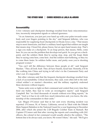## **Accountability**

A few veterans said checkpoint shootings resulted from basic miscommunication, incorrectly interpreted signals or cultural ignorance.

"As an American, you just put your hand up with your palm towards somebody and your fingers pointing to the sky," said Sergeant Jefferies, who was responsible for supplying fixed checkpoints in Diyala twice a day. "That means stop to most Americans, and that's a military hand signal that soldiers are taught that means stop. Closed fist, please freeze, but an open hand means stop. That's a sign you make at a checkpoint. To an Iraqi person, that means, Hello, come here. So you can see the problem that develops real quick. So you get on a checkpoint, and the soldiers think they're saying stop, stop, and the Iraqis think they're saying come here, come here. And the soldiers start hollering, so they try to come there faster. So soldiers holler more, and pretty soon you're shooting pregnant women."

"You can't tell the difference between these people at all," said Sergeant Mardan. "They all look Arab. They all have beards, facial hair. Honestly, it'll be like walking into China and trying to tell who's in the Communist Party and who's not. It's impossible."

But other veterans said that the frequent checkpoint shootings resulted from a lack of accountability. Critical decisions, they said, were often left to the individual soldier's or marine's discretion, and the military regularly endorsed these decisions without inquiry.

"Some units were so tight on their command and control that every time they fired one bullet, they had to write an investigative report," said Sergeant Campbell. But "we fired thousands of rounds without ever filing reports," he said. "And so it has to do with how much interaction and, you know, the relationship of the commanders to their units."

Cpt. Megan O'Connor said that in her unit every shooting incident was reported. O'Connor, 30, of Venice, California, served in Tikrit with the Fiftieth Main Support Battalion in the National Guard for a year beginning in December 2004, after which she joined the 2-28 Brigade Combat Team in Ramadi. But Captain O'Connor said that after viewing the reports and consulting with JAG officers, the colonel in her command would usually absolve the soldiers. "The bottom line is he always said, you know, We weren't there," she said. "We'll give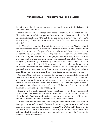them the benefit of the doubt, but make sure that they know that this is not OK and we're watching them."

Probes into roadblock killings were mere formalities, a few veterans said. "Even after a thorough investigation, there's not much that could be done," said Specialist Reppenhagen. "It's just the nature of the situation you're in. That's what's wrong. It's not individual atrocity. It's the fact that the entire war is an atrocity."

The March 2005 shooting death of Italian secret service agent Nicola Calipari at a checkpoint in Baghdad, however, caused the military to finally crack down on such accidents, said Sergeant Campbell, who served there. Yet this did not necessarily lead to greater accountability. "Needless to say, our unit was under a lot of scrutiny not to shoot any more people than we already had to because we were kind of a run-and-gun place," said Sergeant Campbell. "One of the things they did was they started saying, Every time you shoot someone or shoot a car, you have to fill out a 15-[6] or whatever the investigation is. Well, that investigation is really onerous for the soldiers. It's like a 'You're guilty' investigation almost – it feels as though. So commanders just stopped reporting shootings. There was no incentive for them to say, Yeah, we shot so-and-so's car."

(Sergeant Campbell said he believes the number of checkpoint shootings did decrease after the high-profile incident, but that was mostly because soldiers were now required to use pinpoint lasers at night. "I think they reduced, from when we started to when we left, the number of Iraqi civilians dying at checkpoints from one a day to one a week," he said. "Inherent in that number, like all statistics, is those are reported shootings.")

Fearing a backlash against these shootings of civilians, Lieutenant Morgenstein gave a class in late 2004 at his battalion headquarters in Ramadi to all the battalion's officers and most of its senior noncommissioned officers during which he asked them to put themselves in the Iraqis' place.

"I told them the obvious, which is, everyone we wound or kill that isn't an insurgent, hurts us," he said. "Because I guarantee you, down the road, that means a wounded or killed marine or soldier.... One, it's the right thing to do to not wound or shoot someone who isn't an insurgent. But two, out of self-preservation and self-interest, we don't want that to happen because they're going to come back with a vengeance."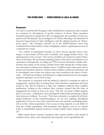#### **Responses**

*The Nation* contacted the Pentagon with a detailed list of questions and a request for comment on descriptions of specific patterns of abuse. These questions included requests to explain the rules of engagement, the operation of convoys, patrols and checkpoints, the investigation of civilian shootings, the detention of innocent Iraqis based on false intelligence and the alleged practice of "throwaway guns." The Pentagon referred us to the Multi-National Force Iraq Combined Press Information Center in Baghdad, where a spokesperson sent us a response by e-mail.

"As a matter of operational security, we don't discuss specific tactics, techniques, or procedures (TTPs) used to identify and engage hostile forces," the spokesperson wrote, in part. "Our service members are trained to protect themselves at all times. We are facing a thinking enemy who learns and adjusts to our operations. Consequently, we adapt our TTPs to ensure maximum combat effectiveness and safety of our troops. Hostile forces hide among the civilian populace and attack civilians and coalition forces. Coalition forces take great care to protect and minimize risks to civilians in this complex combat environment, and we investigate cases where our actions may have resulted in the injury of innocents.... We hold our Soldiers and Marines to a high standard and we investigate reported improper use of force in Iraq."

This response is consistent with the military's refusal to comment on rules of engagement, arguing that revealing these rules threatens operations and puts troops at risk. But on February 9, Maj. Gen. William Caldwell, then coalition spokesman, writing on the coalition force website, insisted that the rules of engagement for troops in Iraq were clear. "The law of armed conflict requires that, to use force, 'combatants' must distinguish individuals presenting a threat from innocent civilians," he wrote. "This basic principle is accepted by all disciplined militaries. In the counterinsurgency we are now fighting, disciplined application of force is even more critical because our enemies camouflage themselves in the civilian population. Our success in Iraq depends on our ability to treat the civilian population with humanity and dignity, even as we remain ready to immediately defend ourselves or Iraqi civilians when a threat is detected."

When asked about veterans' testimony that civilian deaths at the hands of coalition forces often went unreported and typically went unpunished, the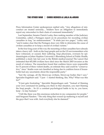Press Information Center spokesperson replied only, "Any allegations of misconduct are treated seriously.... Soldiers have an obligation to immediately report any misconduct to their chain of command immediately."

Last September, Senator Patrick Leahy, then ranking member of the Judiciary Committee, called a Pentagon report on its procedures for recording civilian casualties in Iraq "an embarrassment." "It totals just two pages," Leahy said, "and it makes clear that the Pentagon does very little to determine the cause of civilian casualties or to keep a record of civilian victims."

In the four long years of the war, the mounting civilian casualties have already taken a heavy toll – both on the Iraqi people and on the US servicemembers who have witnessed, or caused, their suffering. Iraqi physicians, overseen by epidemiologists at Johns Hopkins University's Bloomberg School of Public Health, published a study late last year in the British medical journal The Lancet that estimated that 601,000 civilians have died since the March 2003 invasion as the result of violence. The researchers found that coalition forces were responsible for 31 percent of these violent deaths, an estimate they said could be "conservative," since "deaths were not classified as being due to coalition forces if households had any uncertainty about the responsible party."

"Just the carnage, all the blown-up civilians, blown-up bodies that I saw," Specialist Englehart said. "I just – I started thinking, like, Why? What was this for?"

"It just gets frustrating," Specialist Reppenhagen said. "Instead of blaming your own command for putting you there in that situation, you start blaming the Iraqi people.... So it's a constant psychological battle to try to, you know, keep – to stay humane."

"I felt like there was this enormous reduction in my compassion for people," said Sergeant Flanders. "The only thing that wound up mattering is myself and the guys that I was with. And everybody else be damned."